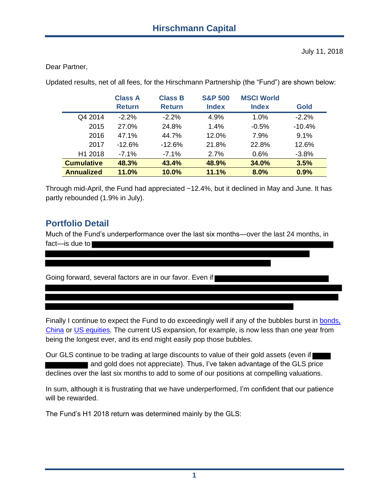Dear Partner,

Updated results, net of all fees, for the Hirschmann Partnership (the "Fund") are shown below:

|                     | <b>Class A</b><br><b>Return</b> | <b>Class B</b><br><b>Return</b> | <b>S&amp;P 500</b><br><b>Index</b> | <b>MSCI World</b><br><b>Index</b> | <b>Gold</b> |
|---------------------|---------------------------------|---------------------------------|------------------------------------|-----------------------------------|-------------|
| Q4 2014             | $-2.2\%$                        | $-2.2\%$                        | 4.9%                               | 1.0%                              | $-2.2%$     |
| 2015                | 27.0%                           | 24.8%                           | 1.4%                               | $-0.5%$                           | $-10.4%$    |
| 2016                | 47.1%                           | 44.7%                           | 12.0%                              | 7.9%                              | 9.1%        |
| 2017                | $-12.6%$                        | $-12.6%$                        | 21.8%                              | 22.8%                             | 12.6%       |
| H <sub>1</sub> 2018 | $-7.1%$                         | $-7.1%$                         | 2.7%                               | 0.6%                              | $-3.8%$     |
| <b>Cumulative</b>   | 48.3%                           | 43.4%                           | 48.9%                              | 34.0%                             | 3.5%        |
| <b>Annualized</b>   | 11.0%                           | 10.0%                           | 11.1%                              | 8.0%                              | 0.9%        |

Through mid-April, the Fund had appreciated ~12.4%, but it declined in May and June. It has partly rebounded (1.9% in July).

# **Portfolio Detail**

Much of the Fund's underperformance over the last six months—over the last 24 months, in fact—is due to

Going forward, several factors are in our favor. Even if

Finally I continue to expect the Fund to do exceedingly well if any of the bubbles burst in bonds, [China](https://docs.wixstatic.com/ugd/dc7287_b48207f22a234219af878f64709add96.pdf) or [US equities.](https://docs.wixstatic.com/ugd/dc7287_0b510603694043fca0b80f7eeb59d776.pdf) The current US expansion, for example, is now less than one year from being the longest ever, and its end might easily pop those bubbles.

Our GLS continue to be trading at large discounts to value of their gold assets (even if and gold does not appreciate). Thus, I've taken advantage of the GLS price declines over the last six months to add to some of our positions at compelling valuations.

In sum, although it is frustrating that we have underperformed, I'm confident that our patience will be rewarded.

The Fund's H1 2018 return was determined mainly by the GLS: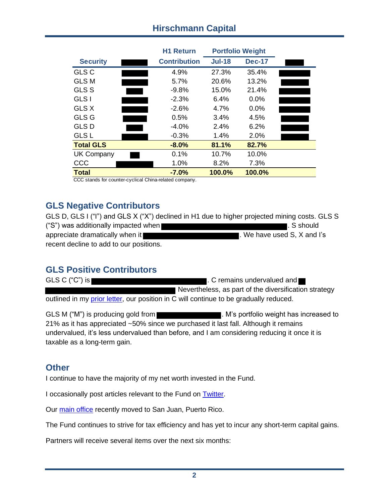## **Hirschmann Capital**

|                   | <b>H1 Return</b>    | <b>Portfolio Weight</b> |               |  |
|-------------------|---------------------|-------------------------|---------------|--|
| <b>Security</b>   | <b>Contribution</b> | <b>Jul-18</b>           | <b>Dec-17</b> |  |
| <b>GLS C</b>      | 4.9%                | 27.3%                   | 35.4%         |  |
| <b>GLS M</b>      | 5.7%                | 20.6%                   | 13.2%         |  |
| <b>GLS S</b>      | $-9.8%$             | 15.0%                   | 21.4%         |  |
| <b>GLS I</b>      | $-2.3%$             | 6.4%                    | 0.0%          |  |
| GLS X             | $-2.6\%$            | 4.7%                    | 0.0%          |  |
| GLS G             | 0.5%                | 3.4%                    | 4.5%          |  |
| <b>GLS D</b>      | $-4.0\%$            | 2.4%                    | 6.2%          |  |
| <b>GLS L</b>      | $-0.3%$             | 1.4%                    | 2.0%          |  |
| <b>Total GLS</b>  | $-8.0\%$            | 81.1%                   | 82.7%         |  |
| <b>UK Company</b> | 0.1%                | 10.7%                   | 10.0%         |  |
| CCC               | 1.0%                | 8.2%                    | 7.3%          |  |
| <b>Total</b>      | $-7.0%$<br>$\cdots$ | 100.0%                  | 100.0%        |  |

CCC stands for counter-cyclical China-related company.

### **GLS Negative Contributors**

GLS D, GLS I ("I") and GLS X ("X") declined in H1 due to higher projected mining costs. GLS S ("S") was additionally impacted when **the summand of the system of the system** . S should appreciate dramatically when it **EXECUTE:** We have used S, X and I's recent decline to add to our positions.

# **GLS Positive Contributors**

GLS C ("C") is **the contract of the contract of the contract of the contract of the contract of the contract of the contract of the contract of the contract of the contract of the contract of the contract of the contract o**  Nevertheless, as part of the diversification strategy outlined in my [prior letter,](https://www.hcapital.llc/partner-letters) our position in C will continue to be gradually reduced.

GLS M ("M") is producing gold from **Example 20 and Section** M's portfolio weight has increased to 21% as it has appreciated ~50% since we purchased it last fall. Although it remains undervalued, it's less undervalued than before, and I am considering reducing it once it is taxable as a long-term gain.

#### **Other**

I continue to have the majority of my net worth invested in the Fund.

I occasionally post articles relevant to the Fund on [Twitter.](https://twitter.com/hcapitalllc)

Our [main office](https://www.hirschmanncapital.com/contact) recently moved to San Juan, Puerto Rico.

The Fund continues to strive for tax efficiency and has yet to incur any short-term capital gains.

Partners will receive several items over the next six months: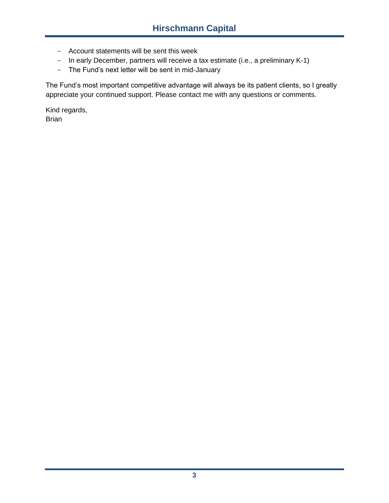- Account statements will be sent this week
- In early December, partners will receive a tax estimate (i.e., a preliminary K-1)
- The Fund's next letter will be sent in mid-January

The Fund's most important competitive advantage will always be its patient clients, so I greatly appreciate your continued support. Please contact me with any questions or comments.

Kind regards, Brian